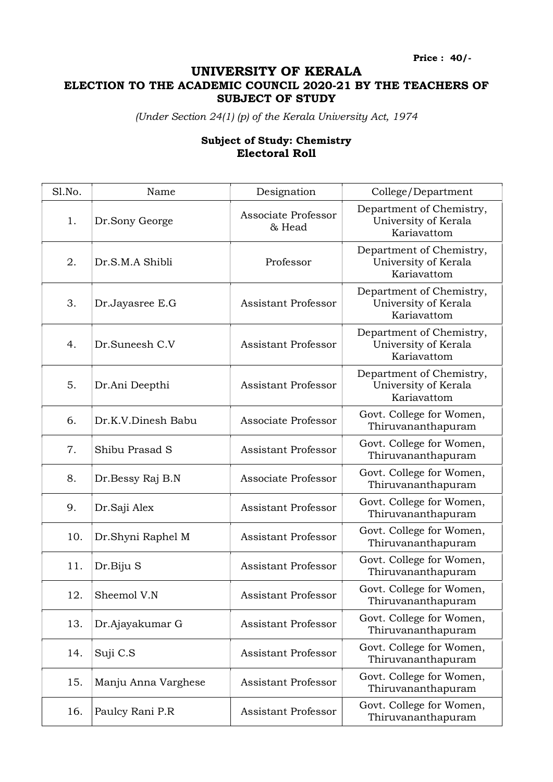Price : 40/-

## UNIVERSITY OF KERALA ELECTION TO THE ACADEMIC COUNCIL 2020-21 BY THE TEACHERS OF SUBJECT OF STUDY

(Under Section 24(1) (p) of the Kerala University Act, 1974

## Subject of Study: Chemistry Electoral Roll

| Sl.No. | Name                | Designation                   | College/Department                                              |
|--------|---------------------|-------------------------------|-----------------------------------------------------------------|
| 1.     | Dr.Sony George      | Associate Professor<br>& Head | Department of Chemistry,<br>University of Kerala<br>Kariavattom |
| 2.     | Dr.S.M.A Shibli     | Professor                     | Department of Chemistry,<br>University of Kerala<br>Kariavattom |
| 3.     | Dr.Jayasree E.G     | <b>Assistant Professor</b>    | Department of Chemistry,<br>University of Kerala<br>Kariavattom |
| 4.     | Dr.Suneesh C.V      | <b>Assistant Professor</b>    | Department of Chemistry,<br>University of Kerala<br>Kariavattom |
| 5.     | Dr.Ani Deepthi      | <b>Assistant Professor</b>    | Department of Chemistry,<br>University of Kerala<br>Kariavattom |
| 6.     | Dr.K.V.Dinesh Babu  | Associate Professor           | Govt. College for Women,<br>Thiruvananthapuram                  |
| 7.     | Shibu Prasad S      | <b>Assistant Professor</b>    | Govt. College for Women,<br>Thiruvananthapuram                  |
| 8.     | Dr.Bessy Raj B.N    | Associate Professor           | Govt. College for Women,<br>Thiruvananthapuram                  |
| 9.     | Dr.Saji Alex        | <b>Assistant Professor</b>    | Govt. College for Women,<br>Thiruvananthapuram                  |
| 10.    | Dr.Shyni Raphel M   | <b>Assistant Professor</b>    | Govt. College for Women,<br>Thiruvananthapuram                  |
| 11.    | Dr.Biju S           | <b>Assistant Professor</b>    | Govt. College for Women,<br>Thiruvananthapuram                  |
| 12.    | Sheemol V.N         | <b>Assistant Professor</b>    | Govt. College for Women,<br>Thiruvananthapuram                  |
| 13.    | Dr.Ajayakumar G     | <b>Assistant Professor</b>    | Govt. College for Women,<br>Thiruvananthapuram                  |
| 14.    | Suji C.S            | <b>Assistant Professor</b>    | Govt. College for Women,<br>Thiruvananthapuram                  |
| 15.    | Manju Anna Varghese | <b>Assistant Professor</b>    | Govt. College for Women,<br>Thiruvananthapuram                  |
| 16.    | Paulcy Rani P.R     | <b>Assistant Professor</b>    | Govt. College for Women,<br>Thiruvananthapuram                  |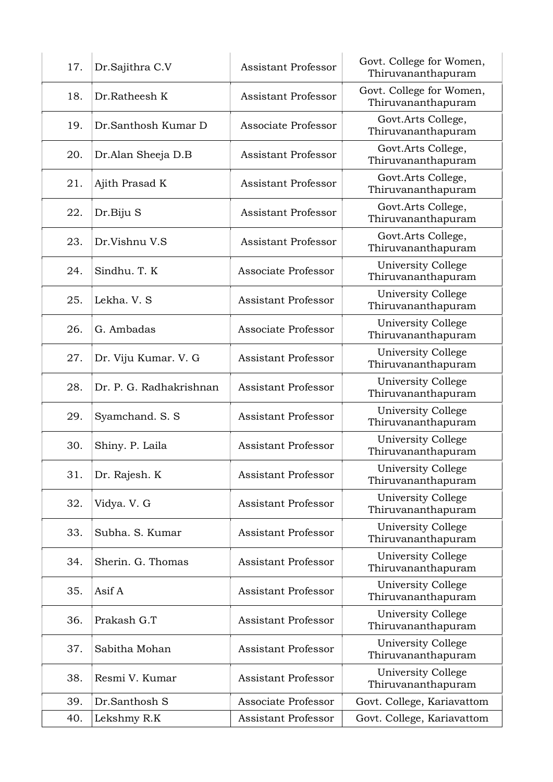| 17. | Dr.Sajithra C.V         | <b>Assistant Professor</b> | Govt. College for Women,<br>Thiruvananthapuram  |
|-----|-------------------------|----------------------------|-------------------------------------------------|
| 18. | Dr.Ratheesh K           | <b>Assistant Professor</b> | Govt. College for Women,<br>Thiruvananthapuram  |
| 19. | Dr.Santhosh Kumar D     | Associate Professor        | Govt.Arts College,<br>Thiruvananthapuram        |
| 20. | Dr.Alan Sheeja D.B      | <b>Assistant Professor</b> | Govt.Arts College,<br>Thiruvananthapuram        |
| 21. | Ajith Prasad K          | <b>Assistant Professor</b> | Govt.Arts College,<br>Thiruvananthapuram        |
| 22. | Dr.Biju S               | <b>Assistant Professor</b> | Govt.Arts College,<br>Thiruvananthapuram        |
| 23. | Dr.Vishnu V.S           | <b>Assistant Professor</b> | Govt.Arts College,<br>Thiruvananthapuram        |
| 24. | Sindhu. T. K            | Associate Professor        | <b>University College</b><br>Thiruvananthapuram |
| 25. | Lekha. V. S             | <b>Assistant Professor</b> | University College<br>Thiruvananthapuram        |
| 26. | G. Ambadas              | Associate Professor        | University College<br>Thiruvananthapuram        |
| 27. | Dr. Viju Kumar. V. G    | <b>Assistant Professor</b> | University College<br>Thiruvananthapuram        |
| 28. | Dr. P. G. Radhakrishnan | <b>Assistant Professor</b> | University College<br>Thiruvananthapuram        |
| 29. | Syamchand. S. S.        | <b>Assistant Professor</b> | <b>University College</b><br>Thiruvananthapuram |
| 30. | Shiny. P. Laila         | <b>Assistant Professor</b> | University College<br>Thiruvananthapuram        |
| 31. | Dr. Rajesh. K           | <b>Assistant Professor</b> | University College<br>Thiruvananthapuram        |
| 32. | Vidya. V. G             | <b>Assistant Professor</b> | University College<br>Thiruvananthapuram        |
| 33. | Subha. S. Kumar         | <b>Assistant Professor</b> | University College<br>Thiruvananthapuram        |
| 34. | Sherin. G. Thomas       | <b>Assistant Professor</b> | University College<br>Thiruvananthapuram        |
| 35. | Asif A                  | <b>Assistant Professor</b> | University College<br>Thiruvananthapuram        |
| 36. | Prakash G.T             | <b>Assistant Professor</b> | University College<br>Thiruvananthapuram        |
| 37. | Sabitha Mohan           | <b>Assistant Professor</b> | University College<br>Thiruvananthapuram        |
| 38. | Resmi V. Kumar          | <b>Assistant Professor</b> | University College<br>Thiruvananthapuram        |
| 39. | Dr.Santhosh S           | Associate Professor        | Govt. College, Kariavattom                      |
| 40. | Lekshmy R.K             | Assistant Professor        | Govt. College, Kariavattom                      |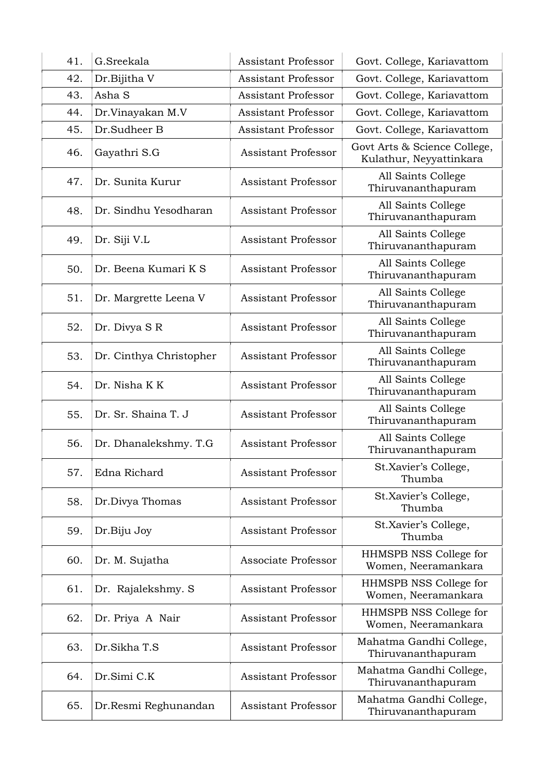| 41. | G.Sreekala              | <b>Assistant Professor</b> | Govt. College, Kariavattom                              |
|-----|-------------------------|----------------------------|---------------------------------------------------------|
| 42. | Dr.Bijitha V            | <b>Assistant Professor</b> | Govt. College, Kariavattom                              |
| 43. | Asha S                  | <b>Assistant Professor</b> | Govt. College, Kariavattom                              |
| 44. | Dr.Vinayakan M.V        | <b>Assistant Professor</b> | Govt. College, Kariavattom                              |
| 45. | Dr.Sudheer B            | <b>Assistant Professor</b> | Govt. College, Kariavattom                              |
| 46. | Gayathri S.G            | <b>Assistant Professor</b> | Govt Arts & Science College,<br>Kulathur, Neyyattinkara |
| 47. | Dr. Sunita Kurur        | <b>Assistant Professor</b> | All Saints College<br>Thiruvananthapuram                |
| 48. | Dr. Sindhu Yesodharan   | <b>Assistant Professor</b> | All Saints College<br>Thiruvananthapuram                |
| 49. | Dr. Siji V.L            | <b>Assistant Professor</b> | All Saints College<br>Thiruvananthapuram                |
| 50. | Dr. Beena Kumari K S    | <b>Assistant Professor</b> | All Saints College<br>Thiruvananthapuram                |
| 51. | Dr. Margrette Leena V   | <b>Assistant Professor</b> | All Saints College<br>Thiruvananthapuram                |
| 52. | Dr. Divya S R           | <b>Assistant Professor</b> | All Saints College<br>Thiruvananthapuram                |
| 53. | Dr. Cinthya Christopher | <b>Assistant Professor</b> | All Saints College<br>Thiruvananthapuram                |
| 54. | Dr. Nisha KK            | <b>Assistant Professor</b> | All Saints College<br>Thiruvananthapuram                |
| 55. | Dr. Sr. Shaina T. J     | <b>Assistant Professor</b> | All Saints College<br>Thiruvananthapuram                |
| 56. | Dr. Dhanalekshmy. T.G   | <b>Assistant Professor</b> | All Saints College<br>Thiruvananthapuram                |
| 57. | Edna Richard            | <b>Assistant Professor</b> | St.Xavier's College,<br>Thumba                          |
| 58. | Dr.Divya Thomas         | <b>Assistant Professor</b> | St.Xavier's College,<br>Thumba                          |
| 59. | Dr.Biju Joy             | <b>Assistant Professor</b> | St.Xavier's College,<br>Thumba                          |
| 60. | Dr. M. Sujatha          | Associate Professor        | HHMSPB NSS College for<br>Women, Neeramankara           |
| 61. | Dr. Rajalekshmy. S      | <b>Assistant Professor</b> | HHMSPB NSS College for<br>Women, Neeramankara           |
| 62. | Dr. Priya A Nair        | <b>Assistant Professor</b> | HHMSPB NSS College for<br>Women, Neeramankara           |
| 63. | Dr.Sikha T.S            | <b>Assistant Professor</b> | Mahatma Gandhi College,<br>Thiruvananthapuram           |
| 64. | Dr.Simi C.K             | <b>Assistant Professor</b> | Mahatma Gandhi College,<br>Thiruvananthapuram           |
| 65. | Dr.Resmi Reghunandan    | <b>Assistant Professor</b> | Mahatma Gandhi College,<br>Thiruvananthapuram           |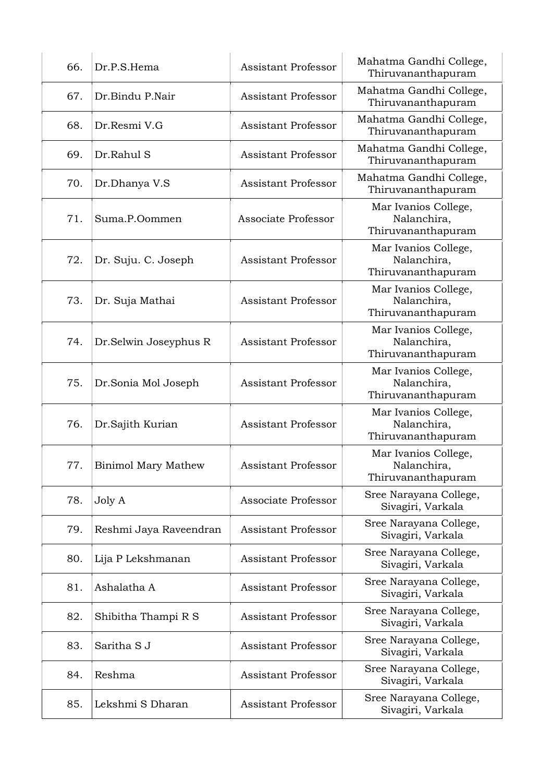| 66. | Dr.P.S.Hema                | <b>Assistant Professor</b> | Mahatma Gandhi College,<br>Thiruvananthapuram             |
|-----|----------------------------|----------------------------|-----------------------------------------------------------|
| 67. | Dr.Bindu P.Nair            | <b>Assistant Professor</b> | Mahatma Gandhi College,<br>Thiruvananthapuram             |
| 68. | Dr.Resmi V.G               | <b>Assistant Professor</b> | Mahatma Gandhi College,<br>Thiruvananthapuram             |
| 69. | Dr.Rahul S                 | Assistant Professor        | Mahatma Gandhi College,<br>Thiruvananthapuram             |
| 70. | Dr.Dhanya V.S              | <b>Assistant Professor</b> | Mahatma Gandhi College,<br>Thiruvananthapuram             |
| 71. | Suma.P.Oommen              | Associate Professor        | Mar Ivanios College,<br>Nalanchira,<br>Thiruvananthapuram |
| 72. | Dr. Suju. C. Joseph        | <b>Assistant Professor</b> | Mar Ivanios College,<br>Nalanchira,<br>Thiruvananthapuram |
| 73. | Dr. Suja Mathai            | <b>Assistant Professor</b> | Mar Ivanios College,<br>Nalanchira,<br>Thiruvananthapuram |
| 74. | Dr.Selwin Joseyphus R      | <b>Assistant Professor</b> | Mar Ivanios College,<br>Nalanchira,<br>Thiruvananthapuram |
| 75. | Dr.Sonia Mol Joseph        | <b>Assistant Professor</b> | Mar Ivanios College,<br>Nalanchira,<br>Thiruvananthapuram |
| 76. | Dr.Sajith Kurian           | <b>Assistant Professor</b> | Mar Ivanios College,<br>Nalanchira,<br>Thiruvananthapuram |
| 77. | <b>Binimol Mary Mathew</b> | <b>Assistant Professor</b> | Mar Ivanios College,<br>Nalanchira,<br>Thiruvananthapuram |
| 78. | Joly A                     | Associate Professor        | Sree Narayana College,<br>Sivagiri, Varkala               |
| 79. | Reshmi Jaya Raveendran     | <b>Assistant Professor</b> | Sree Narayana College,<br>Sivagiri, Varkala               |
| 80. | Lija P Lekshmanan          | <b>Assistant Professor</b> | Sree Narayana College,<br>Sivagiri, Varkala               |
| 81. | Ashalatha A                | <b>Assistant Professor</b> | Sree Narayana College,<br>Sivagiri, Varkala               |
| 82. | Shibitha Thampi R S        | <b>Assistant Professor</b> | Sree Narayana College,<br>Sivagiri, Varkala               |
| 83. | Saritha S J                | <b>Assistant Professor</b> | Sree Narayana College,<br>Sivagiri, Varkala               |
| 84. | Reshma                     | <b>Assistant Professor</b> | Sree Narayana College,<br>Sivagiri, Varkala               |
| 85. | Lekshmi S Dharan           | <b>Assistant Professor</b> | Sree Narayana College,<br>Sivagiri, Varkala               |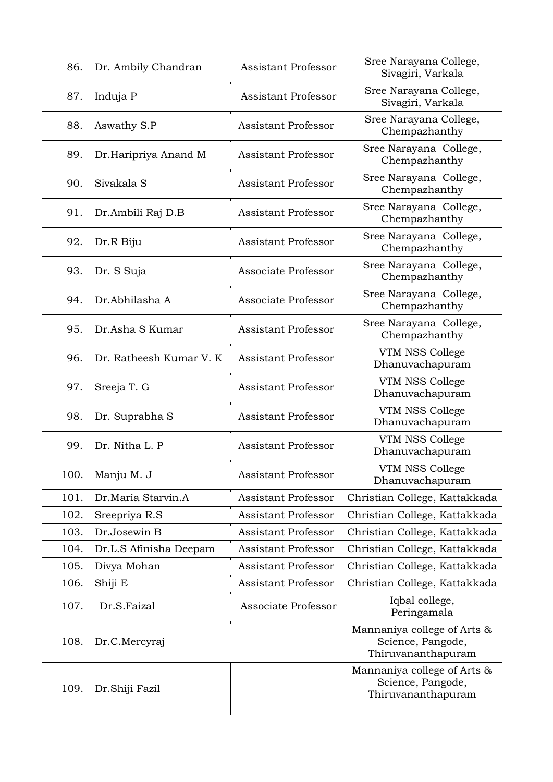| 86.  | Dr. Ambily Chandran     | <b>Assistant Professor</b> | Sree Narayana College,<br>Sivagiri, Varkala                            |
|------|-------------------------|----------------------------|------------------------------------------------------------------------|
| 87.  | Induja P                | <b>Assistant Professor</b> | Sree Narayana College,<br>Sivagiri, Varkala                            |
| 88.  | Aswathy S.P             | Assistant Professor        | Sree Narayana College,<br>Chempazhanthy                                |
| 89.  | Dr.Haripriya Anand M    | <b>Assistant Professor</b> | Sree Narayana College,<br>Chempazhanthy                                |
| 90.  | Sivakala S              | <b>Assistant Professor</b> | Sree Narayana College,<br>Chempazhanthy                                |
| 91.  | Dr.Ambili Raj D.B       | <b>Assistant Professor</b> | Sree Narayana College,<br>Chempazhanthy                                |
| 92.  | Dr.R Biju               | <b>Assistant Professor</b> | Sree Narayana College,<br>Chempazhanthy                                |
| 93.  | Dr. S Suja              | Associate Professor        | Sree Narayana College,<br>Chempazhanthy                                |
| 94.  | Dr.Abhilasha A          | Associate Professor        | Sree Narayana College,<br>Chempazhanthy                                |
| 95.  | Dr.Asha S Kumar         | <b>Assistant Professor</b> | Sree Narayana College,<br>Chempazhanthy                                |
| 96.  | Dr. Ratheesh Kumar V. K | <b>Assistant Professor</b> | VTM NSS College<br>Dhanuvachapuram                                     |
| 97.  | Sreeja T. G             | <b>Assistant Professor</b> | VTM NSS College<br>Dhanuvachapuram                                     |
| 98.  | Dr. Suprabha S          | <b>Assistant Professor</b> | VTM NSS College<br>Dhanuvachapuram                                     |
| 99.  | Dr. Nitha L. P          | Assistant Professor        | VTM NSS College<br>Dhanuvachapuram                                     |
| 100. | Manju M. J              | <b>Assistant Professor</b> | VTM NSS College<br>Dhanuvachapuram                                     |
| 101. | Dr.Maria Starvin.A      | <b>Assistant Professor</b> | Christian College, Kattakkada                                          |
| 102. | Sreepriya R.S           | <b>Assistant Professor</b> | Christian College, Kattakkada                                          |
| 103. | Dr.Josewin B            | <b>Assistant Professor</b> | Christian College, Kattakkada                                          |
| 104. | Dr.L.S Afinisha Deepam  | <b>Assistant Professor</b> | Christian College, Kattakkada                                          |
| 105. | Divya Mohan             | <b>Assistant Professor</b> | Christian College, Kattakkada                                          |
| 106. | Shiji E                 | Assistant Professor        | Christian College, Kattakkada                                          |
| 107. | Dr.S.Faizal             | Associate Professor        | Iqbal college,<br>Peringamala                                          |
| 108. | Dr.C.Mercyraj           |                            | Mannaniya college of Arts &<br>Science, Pangode,<br>Thiruvananthapuram |
| 109. | Dr.Shiji Fazil          |                            | Mannaniya college of Arts &<br>Science, Pangode,<br>Thiruvananthapuram |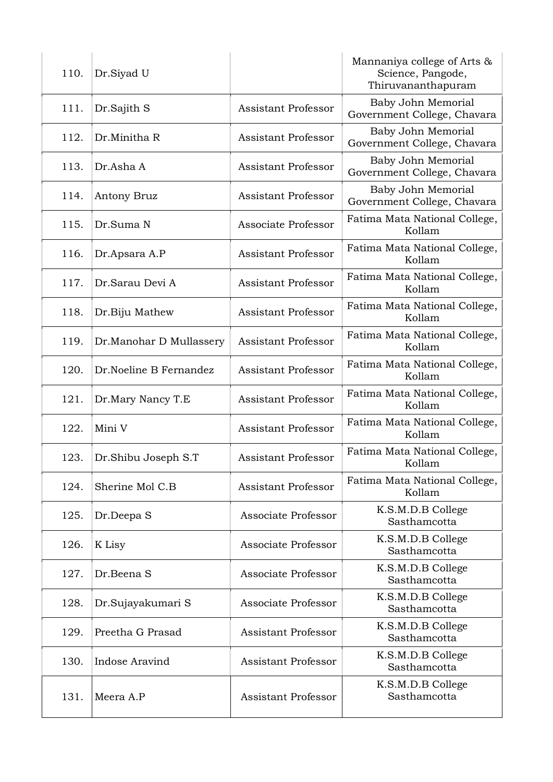| 110. | Dr.Siyad U              |                            | Mannaniya college of Arts &<br>Science, Pangode,<br>Thiruvananthapuram |
|------|-------------------------|----------------------------|------------------------------------------------------------------------|
| 111. | Dr.Sajith S             | <b>Assistant Professor</b> | Baby John Memorial<br>Government College, Chavara                      |
| 112. | Dr.Minitha R            | <b>Assistant Professor</b> | Baby John Memorial<br>Government College, Chavara                      |
| 113. | Dr.Asha A               | <b>Assistant Professor</b> | Baby John Memorial<br>Government College, Chavara                      |
| 114. | Antony Bruz             | <b>Assistant Professor</b> | Baby John Memorial<br>Government College, Chavara                      |
| 115. | Dr.Suma N               | Associate Professor        | Fatima Mata National College,<br>Kollam                                |
| 116. | Dr.Apsara A.P           | <b>Assistant Professor</b> | Fatima Mata National College,<br>Kollam                                |
| 117. | Dr.Sarau Devi A         | <b>Assistant Professor</b> | Fatima Mata National College,<br>Kollam                                |
| 118. | Dr.Biju Mathew          | <b>Assistant Professor</b> | Fatima Mata National College,<br>Kollam                                |
| 119. | Dr.Manohar D Mullassery | <b>Assistant Professor</b> | Fatima Mata National College,<br>Kollam                                |
| 120. | Dr.Noeline B Fernandez  | <b>Assistant Professor</b> | Fatima Mata National College,<br>Kollam                                |
| 121. | Dr.Mary Nancy T.E       | <b>Assistant Professor</b> | Fatima Mata National College,<br>Kollam                                |
| 122. | Mini V                  | <b>Assistant Professor</b> | Fatima Mata National College,<br>Kollam                                |
| 123. | Dr.Shibu Joseph S.T     | <b>Assistant Professor</b> | Fatima Mata National College,<br>Kollam                                |
| 124. | Sherine Mol C.B         | <b>Assistant Professor</b> | Fatima Mata National College,<br>Kollam                                |
| 125. | Dr.Deepa S              | Associate Professor        | K.S.M.D.B College<br>Sasthamcotta                                      |
| 126. | K Lisy                  | Associate Professor        | K.S.M.D.B College<br>Sasthamcotta                                      |
| 127. | Dr.Beena S              | Associate Professor        | K.S.M.D.B College<br>Sasthamcotta                                      |
| 128. | Dr.Sujayakumari S       | Associate Professor        | K.S.M.D.B College<br>Sasthamcotta                                      |
| 129. | Preetha G Prasad        | <b>Assistant Professor</b> | K.S.M.D.B College<br>Sasthamcotta                                      |
| 130. | Indose Aravind          | <b>Assistant Professor</b> | K.S.M.D.B College<br>Sasthamcotta                                      |
| 131. | Meera A.P               | <b>Assistant Professor</b> | K.S.M.D.B College<br>Sasthamcotta                                      |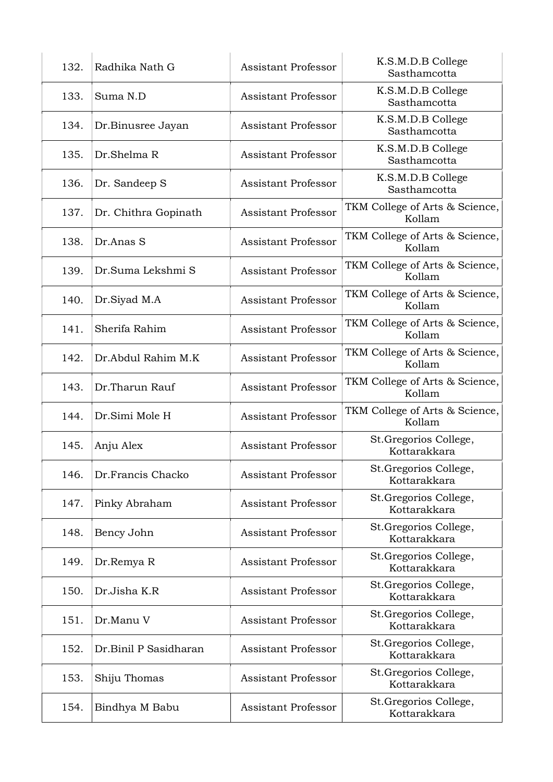| 132. | Radhika Nath G        | <b>Assistant Professor</b> | K.S.M.D.B College<br>Sasthamcotta        |
|------|-----------------------|----------------------------|------------------------------------------|
| 133. | Suma N.D              | <b>Assistant Professor</b> | K.S.M.D.B College<br>Sasthamcotta        |
| 134. | Dr.Binusree Jayan     | <b>Assistant Professor</b> | K.S.M.D.B College<br>Sasthamcotta        |
| 135. | Dr.Shelma R           | <b>Assistant Professor</b> | K.S.M.D.B College<br>Sasthamcotta        |
| 136. | Dr. Sandeep S         | <b>Assistant Professor</b> | K.S.M.D.B College<br>Sasthamcotta        |
| 137. | Dr. Chithra Gopinath  | <b>Assistant Professor</b> | TKM College of Arts & Science,<br>Kollam |
| 138. | Dr.Anas S             | <b>Assistant Professor</b> | TKM College of Arts & Science,<br>Kollam |
| 139. | Dr.Suma Lekshmi S     | <b>Assistant Professor</b> | TKM College of Arts & Science,<br>Kollam |
| 140. | Dr.Siyad M.A          | <b>Assistant Professor</b> | TKM College of Arts & Science,<br>Kollam |
| 141. | Sherifa Rahim         | <b>Assistant Professor</b> | TKM College of Arts & Science,<br>Kollam |
| 142. | Dr.Abdul Rahim M.K    | <b>Assistant Professor</b> | TKM College of Arts & Science,<br>Kollam |
| 143. | Dr.Tharun Rauf        | <b>Assistant Professor</b> | TKM College of Arts & Science,<br>Kollam |
| 144. | Dr.Simi Mole H        | <b>Assistant Professor</b> | TKM College of Arts & Science,<br>Kollam |
| 145. | Anju Alex             | <b>Assistant Professor</b> | St.Gregorios College,<br>Kottarakkara    |
| 146. | Dr.Francis Chacko     | <b>Assistant Professor</b> | St.Gregorios College,<br>Kottarakkara    |
| 147. | Pinky Abraham         | <b>Assistant Professor</b> | St.Gregorios College,<br>Kottarakkara    |
| 148. | Bency John            | <b>Assistant Professor</b> | St.Gregorios College,<br>Kottarakkara    |
| 149. | Dr.Remya R            | <b>Assistant Professor</b> | St. Gregorios College,<br>Kottarakkara   |
| 150. | Dr.Jisha K.R          | <b>Assistant Professor</b> | St.Gregorios College,<br>Kottarakkara    |
| 151. | Dr.Manu V             | <b>Assistant Professor</b> | St.Gregorios College,<br>Kottarakkara    |
| 152. | Dr.Binil P Sasidharan | <b>Assistant Professor</b> | St.Gregorios College,<br>Kottarakkara    |
| 153. | Shiju Thomas          | <b>Assistant Professor</b> | St.Gregorios College,<br>Kottarakkara    |
| 154. | Bindhya M Babu        | <b>Assistant Professor</b> | St.Gregorios College,<br>Kottarakkara    |
|      |                       |                            |                                          |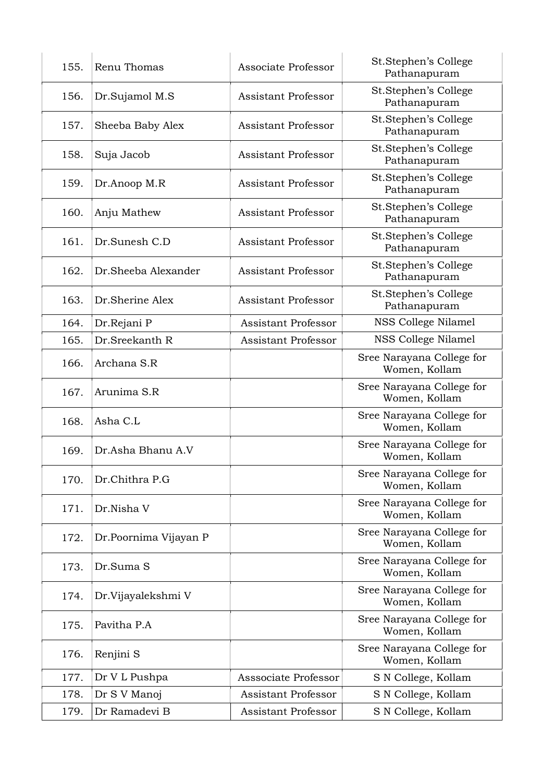| 155. | Renu Thomas           | Associate Professor        | St.Stephen's College<br>Pathanapuram       |
|------|-----------------------|----------------------------|--------------------------------------------|
| 156. | Dr.Sujamol M.S        | <b>Assistant Professor</b> | St.Stephen's College<br>Pathanapuram       |
| 157. | Sheeba Baby Alex      | <b>Assistant Professor</b> | St.Stephen's College<br>Pathanapuram       |
| 158. | Suja Jacob            | Assistant Professor        | St.Stephen's College<br>Pathanapuram       |
| 159. | Dr.Anoop M.R          | <b>Assistant Professor</b> | St.Stephen's College<br>Pathanapuram       |
| 160. | Anju Mathew           | <b>Assistant Professor</b> | St.Stephen's College<br>Pathanapuram       |
| 161. | Dr.Sunesh C.D         | <b>Assistant Professor</b> | St.Stephen's College<br>Pathanapuram       |
| 162. | Dr.Sheeba Alexander   | <b>Assistant Professor</b> | St.Stephen's College<br>Pathanapuram       |
| 163. | Dr.Sherine Alex       | <b>Assistant Professor</b> | St.Stephen's College<br>Pathanapuram       |
| 164. | Dr.Rejani P           | <b>Assistant Professor</b> | NSS College Nilamel                        |
| 165. | Dr.Sreekanth R        | <b>Assistant Professor</b> | NSS College Nilamel                        |
| 166. | Archana S.R           |                            | Sree Narayana College for<br>Women, Kollam |
| 167. | Arunima S.R           |                            | Sree Narayana College for<br>Women, Kollam |
| 168. | Asha C.L              |                            | Sree Narayana College for<br>Women, Kollam |
| 169. | Dr.Asha Bhanu A.V     |                            | Sree Narayana College for<br>Women, Kollam |
| 170. | Dr.Chithra P.G        |                            | Sree Narayana College for<br>Women, Kollam |
| 171. | Dr.Nisha V            |                            | Sree Narayana College for<br>Women, Kollam |
| 172. | Dr.Poornima Vijayan P |                            | Sree Narayana College for<br>Women, Kollam |
| 173. | Dr.Suma S             |                            | Sree Narayana College for<br>Women, Kollam |
| 174. | Dr.Vijayalekshmi V    |                            | Sree Narayana College for<br>Women, Kollam |
| 175. | Pavitha P.A           |                            | Sree Narayana College for<br>Women, Kollam |
| 176. | Renjini S             |                            | Sree Narayana College for<br>Women, Kollam |
| 177. | Dr V L Pushpa         | Asssociate Professor       | S N College, Kollam                        |
| 178. | Dr S V Manoj          | <b>Assistant Professor</b> | S N College, Kollam                        |
| 179. | Dr Ramadevi B         | Assistant Professor        | S N College, Kollam                        |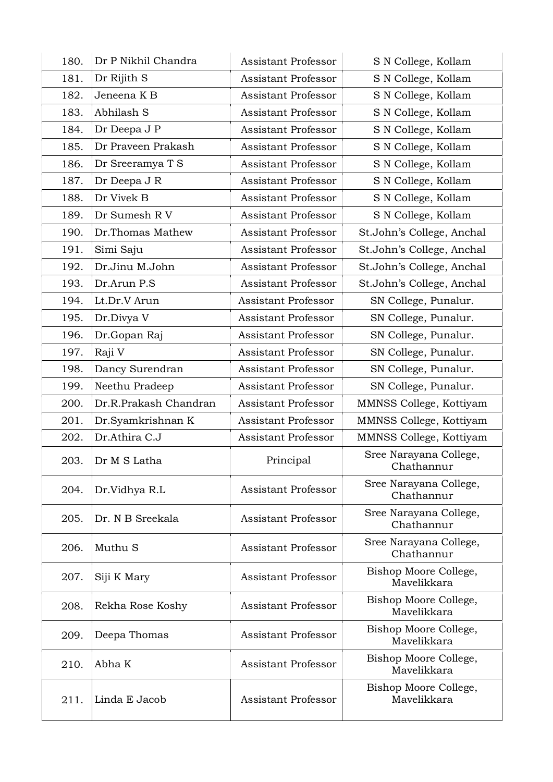| 180. | Dr P Nikhil Chandra   | <b>Assistant Professor</b> | S N College, Kollam                  |
|------|-----------------------|----------------------------|--------------------------------------|
| 181. | Dr Rijith S           | <b>Assistant Professor</b> | S N College, Kollam                  |
| 182. | Jeneena K B           | <b>Assistant Professor</b> | S N College, Kollam                  |
| 183. | Abhilash S            | Assistant Professor        | S N College, Kollam                  |
| 184. | Dr Deepa J P          | <b>Assistant Professor</b> | S N College, Kollam                  |
| 185. | Dr Praveen Prakash    | <b>Assistant Professor</b> | S N College, Kollam                  |
| 186. | Dr Sreeramya T S      | <b>Assistant Professor</b> | S N College, Kollam                  |
| 187. | Dr Deepa J R          | <b>Assistant Professor</b> | S N College, Kollam                  |
| 188. | Dr Vivek B            | <b>Assistant Professor</b> | S N College, Kollam                  |
| 189. | Dr Sumesh R V         | <b>Assistant Professor</b> | S N College, Kollam                  |
| 190. | Dr.Thomas Mathew      | <b>Assistant Professor</b> | St.John's College, Anchal            |
| 191. | Simi Saju             | <b>Assistant Professor</b> | St.John's College, Anchal            |
| 192. | Dr.Jinu M.John        | <b>Assistant Professor</b> | St.John's College, Anchal            |
| 193. | Dr.Arun P.S           | <b>Assistant Professor</b> | St.John's College, Anchal            |
| 194. | Lt.Dr.V Arun          | <b>Assistant Professor</b> | SN College, Punalur.                 |
| 195. | Dr.Divya V            | <b>Assistant Professor</b> | SN College, Punalur.                 |
| 196. | Dr.Gopan Raj          | <b>Assistant Professor</b> | SN College, Punalur.                 |
| 197. | Raji V                | <b>Assistant Professor</b> | SN College, Punalur.                 |
| 198. | Dancy Surendran       | <b>Assistant Professor</b> | SN College, Punalur.                 |
| 199. | Neethu Pradeep        | <b>Assistant Professor</b> | SN College, Punalur.                 |
| 200. | Dr.R.Prakash Chandran | <b>Assistant Professor</b> | MMNSS College, Kottiyam              |
| 201. | Dr.Syamkrishnan K     | Assistant Professor        | MMNSS College, Kottiyam              |
| 202. | Dr.Athira C.J         | <b>Assistant Professor</b> | MMNSS College, Kottiyam              |
| 203. | Dr M S Latha          | Principal                  | Sree Narayana College,<br>Chathannur |
| 204. | Dr.Vidhya R.L         | <b>Assistant Professor</b> | Sree Narayana College,<br>Chathannur |
| 205. | Dr. N B Sreekala      | <b>Assistant Professor</b> | Sree Narayana College,<br>Chathannur |
| 206. | Muthu <sub>S</sub>    | <b>Assistant Professor</b> | Sree Narayana College,<br>Chathannur |
| 207. | Siji K Mary           | <b>Assistant Professor</b> | Bishop Moore College,<br>Mavelikkara |
| 208. | Rekha Rose Koshy      | <b>Assistant Professor</b> | Bishop Moore College,<br>Mavelikkara |
| 209. | Deepa Thomas          | Assistant Professor        | Bishop Moore College,<br>Mavelikkara |
| 210. | Abha K                | <b>Assistant Professor</b> | Bishop Moore College,<br>Mavelikkara |
| 211. | Linda E Jacob         | Assistant Professor        | Bishop Moore College,<br>Mavelikkara |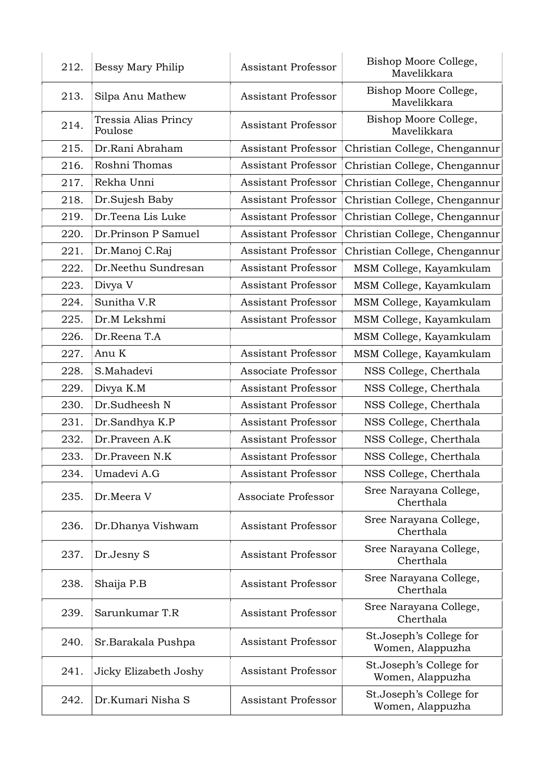| 212. | Bessy Mary Philip               | <b>Assistant Professor</b> | Bishop Moore College,<br>Mavelikkara        |
|------|---------------------------------|----------------------------|---------------------------------------------|
| 213. | Silpa Anu Mathew                | <b>Assistant Professor</b> | Bishop Moore College,<br>Mavelikkara        |
| 214. | Tressia Alias Princy<br>Poulose | <b>Assistant Professor</b> | Bishop Moore College,<br>Mavelikkara        |
| 215. | Dr.Rani Abraham                 | <b>Assistant Professor</b> | Christian College, Chengannur               |
| 216. | Roshni Thomas                   | <b>Assistant Professor</b> | Christian College, Chengannur               |
| 217. | Rekha Unni                      | <b>Assistant Professor</b> | Christian College, Chengannur               |
| 218. | Dr.Sujesh Baby                  | <b>Assistant Professor</b> | Christian College, Chengannur               |
| 219. | Dr.Teena Lis Luke               | <b>Assistant Professor</b> | Christian College, Chengannur               |
| 220. | Dr.Prinson P Samuel             | <b>Assistant Professor</b> | Christian College, Chengannur               |
| 221. | Dr.Manoj C.Raj                  | <b>Assistant Professor</b> | Christian College, Chengannur               |
| 222. | Dr.Neethu Sundresan             | <b>Assistant Professor</b> | MSM College, Kayamkulam                     |
| 223. | Divya V                         | <b>Assistant Professor</b> | MSM College, Kayamkulam                     |
| 224. | Sunitha V.R                     | <b>Assistant Professor</b> | MSM College, Kayamkulam                     |
| 225. | Dr.M Lekshmi                    | <b>Assistant Professor</b> | MSM College, Kayamkulam                     |
| 226. | Dr.Reena T.A                    |                            | MSM College, Kayamkulam                     |
| 227. | Anu K                           | <b>Assistant Professor</b> | MSM College, Kayamkulam                     |
| 228. | S.Mahadevi                      | Associate Professor        | NSS College, Cherthala                      |
| 229. | Divya K.M                       | <b>Assistant Professor</b> | NSS College, Cherthala                      |
| 230. | Dr.Sudheesh N                   | <b>Assistant Professor</b> | NSS College, Cherthala                      |
| 231. | Dr.Sandhya K.P                  | <b>Assistant Professor</b> | NSS College, Cherthala                      |
| 232. | Dr.Praveen A.K                  | <b>Assistant Professor</b> | NSS College, Cherthala                      |
| 233. | Dr.Praveen N.K                  | <b>Assistant Professor</b> | NSS College, Cherthala                      |
| 234. | Umadevi A.G                     | Assistant Professor        | NSS College, Cherthala                      |
| 235. | Dr.Meera V                      | Associate Professor        | Sree Narayana College,<br>Cherthala         |
| 236. | Dr.Dhanya Vishwam               | <b>Assistant Professor</b> | Sree Narayana College,<br>Cherthala         |
| 237. | Dr.Jesny S                      | <b>Assistant Professor</b> | Sree Narayana College,<br>Cherthala         |
| 238. | Shaija P.B                      | <b>Assistant Professor</b> | Sree Narayana College,<br>Cherthala         |
| 239. | Sarunkumar T.R                  | <b>Assistant Professor</b> | Sree Narayana College,<br>Cherthala         |
| 240. | Sr.Barakala Pushpa              | <b>Assistant Professor</b> | St.Joseph's College for<br>Women, Alappuzha |
| 241. | Jicky Elizabeth Joshy           | <b>Assistant Professor</b> | St.Joseph's College for<br>Women, Alappuzha |
| 242. | Dr.Kumari Nisha S               | <b>Assistant Professor</b> | St.Joseph's College for<br>Women, Alappuzha |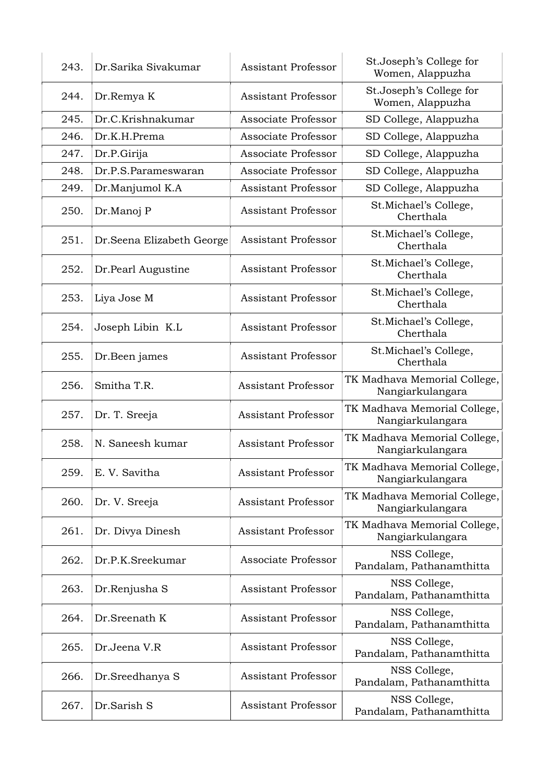| 243. | Dr.Sarika Sivakumar        | <b>Assistant Professor</b> | St. Joseph's College for<br>Women, Alappuzha     |
|------|----------------------------|----------------------------|--------------------------------------------------|
| 244. | Dr.Remya K                 | <b>Assistant Professor</b> | St.Joseph's College for<br>Women, Alappuzha      |
| 245. | Dr.C.Krishnakumar          | Associate Professor        | SD College, Alappuzha                            |
| 246. | Dr.K.H.Prema               | Associate Professor        | SD College, Alappuzha                            |
| 247. | Dr.P.Girija                | Associate Professor        | SD College, Alappuzha                            |
| 248. | Dr.P.S.Parameswaran        | Associate Professor        | SD College, Alappuzha                            |
| 249. | Dr.Manjumol K.A            | <b>Assistant Professor</b> | SD College, Alappuzha                            |
| 250. | Dr.Manoj P                 | <b>Assistant Professor</b> | St.Michael's College,<br>Cherthala               |
| 251. | Dr. Seena Elizabeth George | Assistant Professor        | St.Michael's College,<br>Cherthala               |
| 252. | Dr.Pearl Augustine         | <b>Assistant Professor</b> | St.Michael's College,<br>Cherthala               |
| 253. | Liya Jose M                | <b>Assistant Professor</b> | St.Michael's College,<br>Cherthala               |
| 254. | Joseph Libin K.L           | <b>Assistant Professor</b> | St.Michael's College,<br>Cherthala               |
| 255. | Dr.Been james              | <b>Assistant Professor</b> | St.Michael's College,<br>Cherthala               |
| 256. | Smitha T.R.                | <b>Assistant Professor</b> | TK Madhava Memorial College,<br>Nangiarkulangara |
| 257. | Dr. T. Sreeja              | <b>Assistant Professor</b> | TK Madhava Memorial College,<br>Nangiarkulangara |
| 258. | N. Saneesh kumar           | <b>Assistant Professor</b> | TK Madhava Memorial College,<br>Nangiarkulangara |
| 259. | E. V. Savitha              | <b>Assistant Professor</b> | TK Madhava Memorial College,<br>Nangiarkulangara |
| 260. | Dr. V. Sreeja              | <b>Assistant Professor</b> | TK Madhava Memorial College,<br>Nangiarkulangara |
| 261. | Dr. Divya Dinesh           | <b>Assistant Professor</b> | TK Madhava Memorial College,<br>Nangiarkulangara |
| 262. | Dr.P.K.Sreekumar           | Associate Professor        | NSS College,<br>Pandalam, Pathanamthitta         |
| 263. | Dr.Renjusha S              | <b>Assistant Professor</b> | NSS College,<br>Pandalam, Pathanamthitta         |
| 264. | Dr.Sreenath K              | <b>Assistant Professor</b> | NSS College,<br>Pandalam, Pathanamthitta         |
| 265. | Dr.Jeena V.R               | <b>Assistant Professor</b> | NSS College,<br>Pandalam, Pathanamthitta         |
| 266. | Dr.Sreedhanya S            | <b>Assistant Professor</b> | NSS College,<br>Pandalam, Pathanamthitta         |
| 267. | Dr.Sarish S                | <b>Assistant Professor</b> | NSS College,<br>Pandalam, Pathanamthitta         |